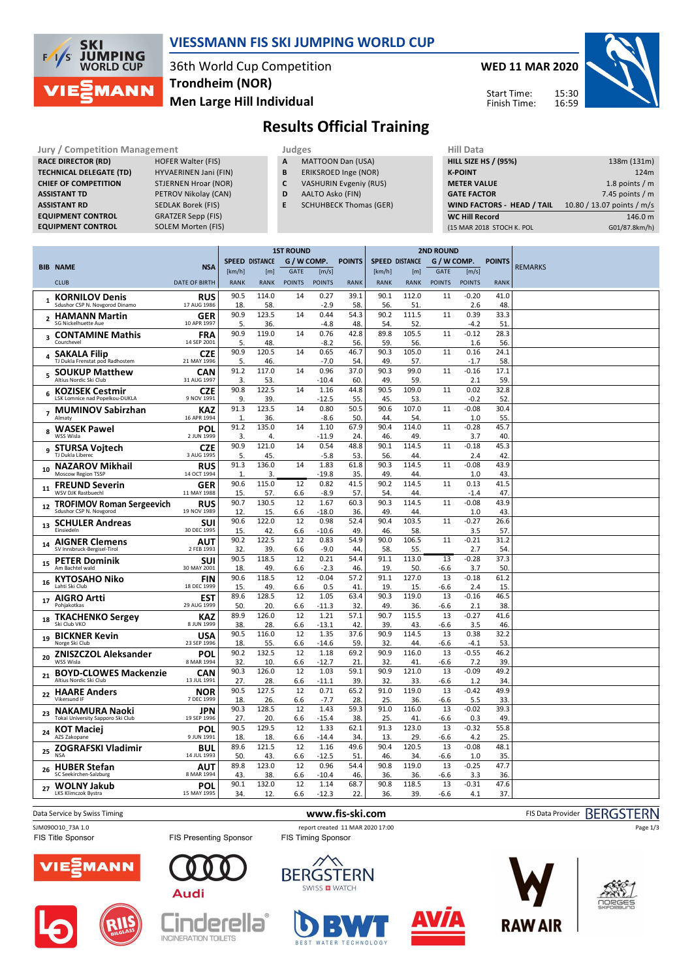

## **VIESSMANN FIS SKI JUMPING WORLD CUP**

36th World Cup Competition **Men Large Hill Individual Trondheim (NOR)**

**WED 11 MAR 2020** 15:30 16:59 Start Time: Finish Time:



# **Results Official Training**

| <b>Jury / Competition Management</b> |                             |   | Judges                        | <b>Hill Data</b>   |
|--------------------------------------|-----------------------------|---|-------------------------------|--------------------|
| <b>RACE DIRECTOR (RD)</b>            | <b>HOFER Walter (FIS)</b>   | A | <b>MATTOON Dan (USA)</b>      | <b>HILL SIZE I</b> |
| <b>TECHNICAL DELEGATE (TD)</b>       | HYVAERINEN Jani (FIN)       | B | ERIKSROED Inge (NOR)          | <b>K-POINT</b>     |
| <b>CHIEF OF COMPETITION</b>          | <b>STJERNEN Hroar (NOR)</b> | C | <b>VASHURIN Evgeniy (RUS)</b> | <b>METER VA</b>    |
| <b>ASSISTANT TD</b>                  | PETROV Nikolay (CAN)        | D | AALTO Asko (FIN)              | <b>GATE FACT</b>   |
| <b>ASSISTANT RD</b>                  | <b>SEDLAK Borek (FIS)</b>   | E | <b>SCHUHBECK Thomas (GER)</b> | <b>WIND FAC</b>    |
| <b>EQUIPMENT CONTROL</b>             | <b>GRATZER Sepp (FIS)</b>   |   |                               | <b>WC Hill Re</b>  |
| <b>EQUIPMENT CONTROL</b>             | <b>SOLEM Morten (FIS)</b>   |   |                               | (15 MAR 20)        |

- **A** MATTOON Dan (USA)
- **B** ERIKSROED Inge (NOR)
- **C** VASHURIN Evgeniy (RUS)
- **D** AALTO Asko (FIN)
- **E** SCHUHBECK Thomas (GER)

| <b>HILL SIZE HS / (95%)</b><br>138m (131m)<br><b>K-POINT</b><br>124m<br>1.8 points $/m$<br><b>METER VALUE</b><br>7.45 points $/m$<br><b>GATE FACTOR</b><br>WIND FACTORS - HEAD / TAIL<br>10.80 / 13.07 points / m/s<br><b>WC Hill Record</b><br>146.0 m<br>G01/87.8km/h)<br>(15 MAR 2018 STOCH K. POL | nii vald |  |
|-------------------------------------------------------------------------------------------------------------------------------------------------------------------------------------------------------------------------------------------------------------------------------------------------------|----------|--|
|                                                                                                                                                                                                                                                                                                       |          |  |
|                                                                                                                                                                                                                                                                                                       |          |  |
|                                                                                                                                                                                                                                                                                                       |          |  |
|                                                                                                                                                                                                                                                                                                       |          |  |
|                                                                                                                                                                                                                                                                                                       |          |  |
|                                                                                                                                                                                                                                                                                                       |          |  |
|                                                                                                                                                                                                                                                                                                       |          |  |

|                         |                                                         |                           | <b>1ST ROUND</b>     |                       |               |                 | <b>2ND ROUND</b> |                       |              |               |                |               |                |
|-------------------------|---------------------------------------------------------|---------------------------|----------------------|-----------------------|---------------|-----------------|------------------|-----------------------|--------------|---------------|----------------|---------------|----------------|
|                         | <b>BIB NAME</b>                                         | <b>NSA</b>                |                      | <b>SPEED DISTANCE</b> | G / W COMP.   |                 | <b>POINTS</b>    | <b>SPEED DISTANCE</b> |              | G / W COMP.   |                | <b>POINTS</b> | <b>REMARKS</b> |
|                         |                                                         |                           | [km/h]               | [m]                   | <b>GATE</b>   | [m/s]           |                  | [km/h]                | [m]          | <b>GATE</b>   | [m/s]          |               |                |
|                         | <b>CLUB</b>                                             | <b>DATE OF BIRTH</b>      | <b>RANK</b>          | <b>RANK</b>           | <b>POINTS</b> | <b>POINTS</b>   | <b>RANK</b>      | <b>RANK</b>           | <b>RANK</b>  | <b>POINTS</b> | <b>POINTS</b>  | <b>RANK</b>   |                |
| $\mathbf{1}$            | <b>KORNILOV Denis</b><br>Sdushor CSP N. Novgorod Dinamo | <b>RUS</b><br>17 AUG 1986 | 90.5                 | 114.0                 | 14            | 0.27            | 39.1             | 90.1                  | 112.0        | 11            | $-0.20$        | 41.0          |                |
|                         |                                                         |                           | 18.<br>90.9          | 58.<br>123.5          | 14            | $-2.9$<br>0.44  | 58.<br>54.3      | 56.<br>90.2           | 51<br>111.5  | 11            | 2.6<br>0.39    | 48<br>33.3    |                |
| $\overline{2}$          | <b>HAMANN Martin</b><br>SG Nickelhuette Aue             | <b>GER</b><br>10 APR 1997 | 5.                   | 36.                   |               | $-4.8$          | 48               | 54.                   | 52.          |               | $-4.2$         | 51            |                |
|                         | <b>CONTAMINE Mathis</b>                                 | <b>FRA</b>                | 90.9                 | 119.0                 | 14            | 0.76            | 42.8             | 89.8                  | 105.5        | 11            | $-0.12$        | 28.3          |                |
| $\overline{\mathbf{3}}$ | Courchevel                                              | 14 SEP 2001               | 5.                   | 48.                   |               | $-8.2$          | 56               | 59.                   | 56.          |               | 1.6            | 56            |                |
| 4                       | <b>SAKALA Filip</b><br>TJ Dukla Frenstat pod Radhostem  | <b>CZE</b><br>21 MAY 1996 | 90.9<br>5.           | 120.5<br>46.          | 14            | 0.65<br>$-7.0$  | 46.7<br>54       | 90.3<br>49            | 105.0<br>57. | 11            | 0.16<br>$-1.7$ | 24.1<br>58    |                |
| 5                       | <b>SOUKUP Matthew</b><br>Altius Nordic Ski Club         | <b>CAN</b><br>31 AUG 1997 | 91.2<br>3.           | 117.0<br>53.          | 14            | 0.96<br>$-10.4$ | 37.0<br>60       | 90.3<br>49.           | 99.0<br>59.  | 11            | $-0.16$<br>2.1 | 17.1<br>59    |                |
|                         | <b>KOZISEK Cestmir</b>                                  | <b>CZE</b>                | 90.8                 | 122.5                 | 14            | 1.16            | 44.8             | 90.5                  | 109.0        | 11            | 0.02           | 32.8          |                |
| 6                       | LSK Lomnice nad Popelkou-DUKLA                          | 9 NOV 1991                | 9.                   | 39.                   |               | $-12.5$         | 55.              | 45.                   | 53.          |               | $-0.2$         | 52            |                |
|                         | <b>MUMINOV Sabirzhan</b>                                | <b>KAZ</b>                | 91.3                 | 123.5                 | 14            | 0.80            | 50.5             | 90.6                  | 107.0        | 11            | $-0.08$        | 30.4          |                |
|                         | Almaty                                                  | 16 APR 1994               | $\mathbf{1}$<br>91.2 | 36.<br>135.0          | 14            | $-8.6$<br>1.10  | 50<br>67.9       | 44<br>90.4            | 54<br>114.0  | 11            | 1.0<br>$-0.28$ | 55<br>45.7    |                |
| 8                       | <b>WASEK Pawel</b><br>WSS Wisla                         | POL<br>2 JUN 1999         | 3.                   | 4.                    |               | $-11.9$         | 24               | 46.                   | 49           |               | 3.7            | 40            |                |
|                         | <b>STURSA Voitech</b>                                   | <b>CZE</b>                | 90.9                 | 121.0                 | 14            | 0.54            | 48.8             | 90.1                  | 114.5        | 11            | $-0.18$        | 45.3          |                |
| 9                       | TJ Dukla Liberec                                        | 3 AUG 1995                | 5.                   | 45.                   |               | $-5.8$          | 53.              | 56.                   | 44.          |               | 2.4            | 42            |                |
| 10                      | <b>NAZAROV Mikhail</b>                                  | <b>RUS</b>                | 91.3                 | 136.0                 | 14            | 1.83            | 61.8             | 90.3                  | 114.5        | 11            | $-0.08$        | 43.9          |                |
|                         | Moscow Region TSSP                                      | 14 OCT 1994               | $\mathbf{1}$         | 3.                    |               | $-19.8$         | 35.              | 49                    | 44.          |               | 1.0            | 43            |                |
| 11                      | <b>FREUND Severin</b><br><b>WSV DJK Rastbuechl</b>      | <b>GER</b><br>11 MAY 1988 | 90.6<br>15           | 115.0<br>57.          | 12<br>6.6     | 0.82<br>$-8.9$  | 41.5<br>57.      | 90.2<br>54            | 114.5<br>44. | 11            | 0.13<br>$-1.4$ | 41.5<br>47    |                |
|                         | <b>TROFIMOV Roman Sergeevich</b>                        | <b>RUS</b>                | 90.7                 | 130.5                 | 12            | 1.67            | 60.3             | 90.3                  | 114.5        | 11            | $-0.08$        | 43.9          |                |
| 12                      | Sdushor CSP N. Novgorod                                 | 19 NOV 1989               | 12                   | 15.                   | 6.6           | $-18.0$         | 36.              | 49                    | 44           |               | 1.0            | 43            |                |
| 13                      | <b>SCHULER Andreas</b>                                  | SUI                       | 90.6                 | 122.0                 | 12            | 0.98            | 52.4             | 90.4                  | 103.5        | 11            | $-0.27$        | 26.6          |                |
|                         | Finsiedeln                                              | 30 DEC 1995               | 15.                  | 42.                   | 6.6           | $-10.6$         | 49               | 46                    | 58.          |               | 3.5            | 57            |                |
| 14                      | <b>AIGNER Clemens</b><br>SV Innsbruck-Bergisel-Tirol    | <b>AUT</b><br>2 FEB 1993  | 90.2<br>32.          | 122.5<br>39.          | 12<br>6.6     | 0.83<br>$-9.0$  | 54.9<br>44       | 90.0<br>58.           | 106.5<br>55  | 11            | $-0.21$<br>2.7 | 31.2<br>54    |                |
|                         |                                                         | SUI                       | 90.5                 | 118.5                 | 12            | 0.21            | 54.4             | 91.1                  | 113.0        | 13            | $-0.28$        | 37.3          |                |
| 15                      | <b>PETER Dominik</b><br>Am Bachtel wald                 | 30 MAY 2001               | 18                   | 49.                   | 6.6           | $-2.3$          | 46               | 19                    | 50.          | -6.6          | 3.7            | 50.           |                |
| 16                      | <b>KYTOSAHO Niko</b>                                    | <b>FIN</b>                | 90.6                 | 118.5                 | 12            | $-0.04$         | 57.2             | 91.1                  | 127.0        | 13            | $-0.18$        | 61.2          |                |
|                         | Lahti Ski Club                                          | 18 DEC 1999               | 15.                  | 49.                   | 6.6           | 0.5             | 41               | 19                    | 15.          | -6.6          | 2.4            | 15            |                |
| 17                      | <b>AIGRO Artti</b>                                      | EST                       | 89.6                 | 128.5                 | 12            | 1.05            | 63.4             | 90.3                  | 119.0        | 13            | $-0.16$        | 46.5          |                |
|                         | Pohjakotkas                                             | 29 AUG 1999               | 50                   | 20.                   | 6.6           | $-11.3$         | 32.              | 49                    | 36.          | $-6.6$        | 2.1            | 38            |                |
| 18                      | <b>TKACHENKO Sergev</b><br>Ski Club VKO                 | <b>KAZ</b><br>8 JUN 1999  | 89.9<br>38           | 126.0<br>28.          | 12<br>6.6     | 1.21<br>$-13.1$ | 57.1<br>42       | 90.7<br>39.           | 115.5<br>43. | 13<br>-6.6    | $-0.27$<br>3.5 | 41.6<br>46.   |                |
|                         | <b>BICKNER Kevin</b>                                    | <b>USA</b>                | 90.5                 | 116.0                 | 12            | 1.35            | 37.6             | 90.9                  | 114.5        | 13            | 0.38           | 32.2          |                |
| 19                      | Norge Ski Club                                          | 23 SEP 1996               | 18.                  | 55.                   | 6.6           | $-14.6$         | 59.              | 32.                   | 44           | $-6.6$        | $-4.1$         | 53            |                |
| 20                      | <b>ZNISZCZOL Aleksander</b>                             | POL                       | 90.2                 | 132.5                 | 12            | 1.18            | 69.2             | 90.9                  | 116.0        | 13            | $-0.55$        | 46.2          |                |
|                         | <b>WSS Wisla</b>                                        | 8 MAR 1994                | 32                   | 10.                   | 6.6           | $-12.7$         | 21               | 32.                   | 41.          | -6.6          | 7.2            | 39            |                |
| 21                      | <b>BOYD-CLOWES Mackenzie</b><br>Altius Nordic Ski Club  | <b>CAN</b><br>13 JUL 1991 | 90.3<br>27.          | 126.0<br>28.          | 12<br>6.6     | 1.03<br>$-11.1$ | 59.1<br>39.      | 90.9<br>32.           | 121.0<br>33. | 13<br>$-6.6$  | $-0.09$<br>1.2 | 49.2<br>34    |                |
|                         | <b>HAARE Anders</b>                                     | <b>NOR</b>                | 90.5                 | 127.5                 | 12            | 0.71            | 65.2             | 91.0                  | 119.0        | 13            | $-0.42$        | 49.9          |                |
| 22                      | Vikersund IF                                            | 7 DEC 1999                | 18.                  | 26.                   | 6.6           | $-7.7$          | 28.              | 25.                   | 36.          | -6.6          | 5.5            | 33            |                |
| 23                      | <b>NAKAMURA Naoki</b>                                   | <b>JPN</b>                | 90.3                 | 128.5                 | 12            | 1.43            | 59.3             | 91.0                  | 116.0        | 13            | $-0.02$        | 39.3          |                |
|                         | Tokai University Sapporo Ski Club                       | 19 SEP 1996               | 27.                  | 20.                   | 6.6           | $-15.4$         | 38.              | 25.                   | 41           | -6.6          | 0.3            | 49            |                |
| 24                      | <b>KOT Maciej</b><br>AZS Zakopane                       | POL<br>9 JUN 1991         | 90.5<br>18           | 129.5<br>18.          | 12<br>6.6     | 1.33<br>$-14.4$ | 62.1<br>34       | 91.3<br>13.           | 123.0<br>29  | 13<br>-6.6    | $-0.32$<br>4.2 | 55.8<br>25    |                |
|                         | ZOGRAFSKI Vladimir                                      | <b>BUL</b>                | 89.6                 | 121.5                 | 12            | 1.16            | 49.6             | 90.4                  | 120.5        | 13            | $-0.08$        | 48.1          |                |
| 25                      |                                                         | 14 JUL 1993               | 50.                  | 43.                   | 6.6           | $-12.5$         | 51               | 46                    | 34           | -6.6          | 1.0            | 35            |                |
| 26                      | <b>HUBER Stefan</b>                                     | <b>AUT</b>                | 89.8                 | 123.0                 | 12            | 0.96            | 54.4             | 90.8                  | 119.0        | 13            | $-0.25$        | 47.7          |                |
|                         | SC Seekirchen-Salzburg                                  | 8 MAR 1994                | 43.                  | 38.                   | 6.6           | -10.4           | 46               | 36.                   | 36.          | -6.6          | 3.3            | 36            |                |
| 27                      | <b>WOLNY Jakub</b>                                      | POL                       | 90.1                 | 132.0                 | 12            | 1.14            | 68.7             | 90.8                  | 118.5        | 13            | $-0.31$        | 47.6          |                |
|                         | LKS Klimczok Bystra                                     | 15 MAY 1995               | 34.                  | 12.                   | 6.6           | $-12.3$         | 22.              | 36.                   | 39.          | $-6.6$        | 4.1            | 37.           |                |

Data Service by Swiss Timing **WWW.fis-ski.com www.fis-ski.com** FIS Data Provider BERGSTERN

FIS Presenting Sponsor

inderella

SJM090010\_73A 1.0 report created 11 MAR 2020 17:00<br>
FIS Timing Sponsor FIS Timing Sponsor FIS Timing Sponsor





INCINERATION TOILETS









Page 1/3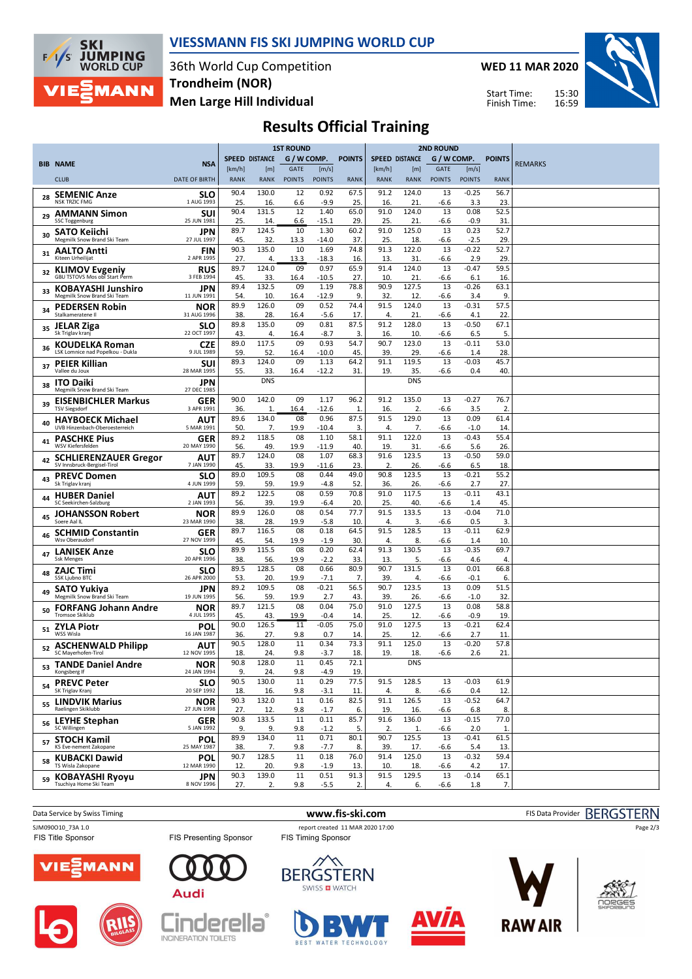

### **VIESSMANN FIS SKI JUMPING WORLD CUP**

36th World Cup Competition **Men Large Hill Individual Trondheim (NOR)**

**WED 11 MAR 2020**



Start Time: Finish Time:

# **Results Official Training**

|    |                                                             |                           | <b>1ST ROUND</b>      |                       |                              |                        | <b>2ND ROUND</b> |                       |                       |                              |                        |               |                |
|----|-------------------------------------------------------------|---------------------------|-----------------------|-----------------------|------------------------------|------------------------|------------------|-----------------------|-----------------------|------------------------------|------------------------|---------------|----------------|
|    | <b>BIB NAME</b>                                             | <b>NSA</b>                |                       | <b>SPEED DISTANCE</b> | G / W COMP.                  |                        | <b>POINTS</b>    |                       | <b>SPEED DISTANCE</b> | G / W COMP.                  |                        | <b>POINTS</b> | <b>REMARKS</b> |
|    | <b>CLUB</b>                                                 | <b>DATE OF BIRTH</b>      | [km/h]<br><b>RANK</b> | [m]<br><b>RANK</b>    | <b>GATE</b><br><b>POINTS</b> | [m/s]<br><b>POINTS</b> | <b>RANK</b>      | [km/h]<br><b>RANK</b> | [m]<br><b>RANK</b>    | <b>GATE</b><br><b>POINTS</b> | [m/s]<br><b>POINTS</b> | <b>RANK</b>   |                |
|    |                                                             |                           | 90.4                  | 130.0                 | 12                           | 0.92                   | 67.5             | 91.2                  | 124.0                 | 13                           | $-0.25$                | 56.7          |                |
| 28 | <b>SEMENIC Anze</b><br><b>NSK TRZIC FMG</b>                 | <b>SLO</b><br>1 AUG 1993  | 25.                   | 16.                   | 6.6                          | $-9.9$                 | 25.              | 16.                   | 21                    | -6.6                         | 3.3                    | 23.           |                |
| 29 | <b>AMMANN Simon</b><br><b>SSC Toggenburg</b>                | <b>SUI</b><br>25 JUN 1981 | 90.4<br>25.           | 131.5<br>14           | 12<br>6.6                    | 1.40<br>$-15.1$        | 65.0<br>29.      | 91.0<br>25.           | 124.0<br>21           | 13<br>-6.6                   | 0.08<br>$-0.9$         | 52.5<br>31    |                |
| 30 | <b>SATO Keiichi</b><br>Megmilk Snow Brand Ski Team          | JPN<br>27 JUL 1997        | 89.7<br>45.           | 124.5<br>32.          | 10<br>13.3                   | 1.30<br>$-14.0$        | 60.2<br>37.      | 91.0<br>25.           | 125.0<br>18.          | 13<br>-6.6                   | 0.23<br>$-2.5$         | 52.7<br>29.   |                |
| 31 | <b>AALTO Antti</b><br>Kiteen Urheilijat                     | <b>FIN</b><br>2 APR 1995  | 90.3                  | 135.0                 | 10                           | 1.69                   | 74.8             | 91.3                  | 122.0                 | 13                           | $-0.22$                | 52.7          |                |
| 32 | <b>KLIMOV Evgeniy</b>                                       | <b>RUS</b>                | 27.<br>89.7           | 4.<br>124.0           | 13.3<br>09                   | $-18.3$<br>0.97        | 16.<br>65.9      | 13.<br>91.4           | 31<br>124.0           | -6.6<br>13                   | 2.9<br>$-0.47$         | 29.<br>59.5   |                |
| 33 | GBU TSTOVS Mos obl Start Perm<br><b>KOBAYASHI Junshiro</b>  | 3 FEB 1994<br>JPN         | 45.<br>89.4           | 33.<br>132.5          | 16.4<br>09                   | $-10.5$<br>1.19        | 27.<br>78.8      | 10.<br>90.9           | 21<br>127.5           | -6.6<br>13                   | 6.1<br>$-0.26$         | 16.<br>63.1   |                |
|    | Megmilk Snow Brand Ski Team<br><b>PEDERSEN Robin</b>        | 11 JUN 1991<br><b>NOR</b> | 54.<br>89.9           | 10.<br>126.0          | 16.4<br>09                   | $-12.9$<br>0.52        | 9.<br>74.4       | 32.<br>91.5           | 12.<br>124.0          | -6.6<br>13                   | 3.4<br>$-0.31$         | 9<br>57.5     |                |
| 34 | Stalkameratene II                                           | 31 AUG 1996               | 38.                   | 28.                   | 16.4                         | $-5.6$                 | 17.              | 4.                    | 21                    | -6.6                         | 4.1                    | 22.           |                |
| 35 | <b>JELAR Ziga</b><br>Sk Triglav kranj                       | <b>SLO</b><br>22 OCT 1997 | 89.8<br>43.           | 135.0<br>4.           | 09<br>16.4                   | 0.81<br>-8.7           | 87.5<br>3.       | 91.2<br>16.           | 128.0<br>10.          | 13<br>-6.6                   | $-0.50$<br>6.5         | 67.1<br>5.    |                |
| 36 | <b>KOUDELKA Roman</b><br>LSK Lomnice nad Popelkou - Dukla   | <b>CZE</b><br>9 JUL 1989  | 89.0<br>59.           | 117.5<br>52.          | 09<br>16.4                   | 0.93<br>$-10.0$        | 54.7<br>45.      | 90.7<br>39.           | 123.0<br>29.          | 13<br>-6.6                   | $-0.11$<br>1.4         | 53.0<br>28.   |                |
| 37 | <b>PEIER Killian</b><br>Vallee du Joux                      | <b>SUI</b><br>28 MAR 1995 | 89.3<br>55.           | 124.0<br>33.          | 09<br>16.4                   | 1.13<br>$-12.2$        | 64.2<br>31.      | 91.1<br>19.           | 119.5<br>35.          | 13<br>-6.6                   | $-0.03$<br>0.4         | 45.7<br>40.   |                |
| 38 | <b>ITO Daiki</b><br>Megmilk Snow Brand Ski Team             | JPN<br>27 DEC 1985        |                       | <b>DNS</b>            |                              |                        |                  |                       | <b>DNS</b>            |                              |                        |               |                |
| 39 | <b>EISENBICHLER Markus</b>                                  | GER                       | 90.0                  | 142.0                 | 09                           | 1.17                   | 96.2             | 91.2                  | 135.0                 | 13                           | $-0.27$                | 76.7          |                |
| 40 | <b>TSV Siegsdorf</b><br><b>HAYBOECK Michael</b>             | 3 APR 1991<br>AUT         | 36.<br>89.6           | $\mathbf{1}$<br>134.0 | 16.4<br>08                   | $-12.6$<br>0.96        | 1.<br>87.5       | 16.<br>91.5           | 2.<br>129.0           | -6.6<br>13                   | 3.5<br>0.09            | 2.<br>61.4    |                |
| 41 | UVB Hinzenbach-Oberoesterreich<br><b>PASCHKE Pius</b>       | 5 MAR 1991<br>GER         | 50.<br>89.2           | 7.<br>118.5           | 19.9<br>08                   | $-10.4$<br>1.10        | 3.<br>58.1       | 4.<br>91.1            | 7.<br>122.0           | -6.6<br>13                   | $-1.0$<br>$-0.43$      | 14.<br>55.4   |                |
|    | WSV Kiefersfelden                                           | 20 MAY 1990<br>AUT        | 56.<br>89.7           | 49.<br>124.0          | 19.9<br>08                   | $-11.9$<br>1.07        | 40.<br>68.3      | 19.<br>91.6           | 31<br>123.5           | -6.6<br>13                   | 5.6<br>$-0.50$         | 26.<br>59.0   |                |
| 42 | <b>SCHLIERENZAUER Gregor</b><br>SV Innsbruck-Bergisel-Tirol | 7 JAN 1990                | 45.                   | 33.                   | 19.9                         | $-11.6$                | 23.              | 2.                    | 26.                   | -6.6                         | 6.5                    | 18.           |                |
| 43 | <b>PREVC Domen</b><br>Sk Triglav kranj                      | <b>SLO</b><br>4 JUN 1999  | 89.0<br>59.           | 109.5<br>59.          | 08<br>19.9                   | 0.44<br>$-4.8$         | 49.0<br>52.      | 90.8<br>36.           | 123.5<br>26.          | 13<br>-6.6                   | $-0.21$<br>2.7         | 55.2<br>27.   |                |
| 44 | <b>HUBER Daniel</b><br>SC Seekirchen-Salzburg               | AUT<br>2 JAN 1993         | 89.2<br>56.           | 122.5<br>39.          | 08<br>19.9                   | 0.59<br>-6.4           | 70.8<br>20.      | 91.0<br>25.           | 117.5<br>40.          | 13<br>-6.6                   | $-0.11$<br>1.4         | 43.1<br>45.   |                |
| 45 | <b>JOHANSSON Robert</b><br>Soere Aal IL                     | <b>NOR</b><br>23 MAR 1990 | 89.9<br>38.           | 126.0<br>28.          | 08<br>19.9                   | 0.54<br>$-5.8$         | 77.7<br>10.      | 91.5<br>4.            | 133.5<br>3.           | 13<br>-6.6                   | $-0.04$<br>0.5         | 71.0<br>3.    |                |
| 46 | <b>SCHMID Constantin</b><br>Wsv Oberaudorf                  | <b>GER</b><br>27 NOV 1999 | 89.7                  | 116.5<br>54.          | 08                           | 0.18                   | 64.5             | 91.5<br>4.            | 128.5                 | 13                           | $-0.11$<br>1.4         | 62.9          |                |
| 47 | <b>LANISEK Anze</b>                                         | <b>SLO</b>                | 45.<br>89.9           | 115.5                 | 19.9<br>08                   | $-1.9$<br>0.20         | 30.<br>62.4      | 91.3                  | 8.<br>130.5           | -6.6<br>13                   | $-0.35$                | 10.<br>69.7   |                |
| 48 | <b>Ssk Menges</b><br><b>ZAJC Timi</b>                       | 20 APR 1996<br><b>SLO</b> | 38.<br>89.5           | 56.<br>128.5          | 19.9<br>08                   | $-2.2$<br>0.66         | 33.<br>80.9      | 13.<br>90.7           | 5.<br>131.5           | -6.6<br>13                   | 4.6<br>0.01            | 4.<br>66.8    |                |
|    | SSK Ljubno BTC                                              | 26 APR 2000<br>JPN        | 53.<br>89.2           | 20.<br>109.5          | 19.9<br>08                   | $-7.1$<br>$-0.21$      | 7.<br>56.5       | 39.<br>90.7           | 4.<br>123.5           | -6.6<br>13                   | $-0.1$<br>0.09         | 6.<br>51.5    |                |
| 49 | <b>SATO Yukiya</b><br>Megmilk Snow Brand Ski Team           | 19 JUN 1995               | 56.                   | 59.                   | 19.9                         | 2.7                    | 43.              | 39.                   | 26.                   | -6.6                         | $-1.0$                 | 32            |                |
| 50 | <b>FORFANG Johann Andre</b><br><b>Tromsoe Skiklub</b>       | NOR<br>4 JUL 1995         | 89.7<br>45.           | 121.5<br>43.          | 08<br>19.9                   | 0.04<br>$-0.4$         | 75.0<br>14.      | 91.0<br>25.           | 127.5<br>12.          | 13<br>-6.6                   | 0.08<br>$-0.9$         | 58.8<br>19.   |                |
| 51 | <b>ZYLA Piotr</b><br>WSS Wisla                              | POL<br>16 JAN 1987        | 90.0<br>36.           | 126.5<br>27.          | 11<br>9.8                    | $-0.05$<br>0.7         | 75.0<br>14.      | 91.0<br>25.           | 127.5<br>12.          | 13<br>-6.6                   | $-0.21$<br>2.7         | 62.4<br>11.   |                |
|    | <b>ASCHENWALD Philipp</b><br>SC Mayerhofen-Tirol            | AUT<br>12 NOV 1995        | 90.5<br>18.           | 128.0<br>24.          | 11<br>9.8                    | 0.34<br>$-3.7$         | 73.3<br>18.      | 91.1<br>19.           | 125.0<br>18.          | 13<br>-6.6                   | $-0.20$<br>2.6         | 57.8<br>21.   |                |
| 53 | <b>TANDE Daniel Andre</b><br>Kongsberg If                   | <b>NOR</b><br>24 JAN 1994 | 90.8<br>9.            | 128.0<br>24.          | 11<br>9.8                    | 0.45<br>$-4.9$         | 72.1<br>19.      |                       | <b>DNS</b>            |                              |                        |               |                |
| 54 | <b>PREVC Peter</b>                                          | <b>SLO</b>                | 90.5                  | 130.0                 | 11                           | 0.29                   | 77.5             | 91.5                  | 128.5                 | 13                           | $-0.03$                | 61.9          |                |
| 55 | SK Triglav Kranj<br><b>LINDVIK Marius</b>                   | 20 SEP 1992<br><b>NOR</b> | 18.<br>90.3           | 16.<br>132.0          | 9.8<br>11                    | $-3.1$<br>0.16         | 11.<br>82.5      | 4.<br>91.1            | 8.<br>126.5           | -6.6<br>13                   | 0.4<br>$-0.52$         | 12.<br>64.7   |                |
| 56 | Raelingen Skiklubb<br><b>LEYHE Stephan</b>                  | 27 JUN 1998<br>GER        | 27.<br>90.8           | 12.<br>133.5          | 9.8<br>11                    | $-1.7$<br>0.11         | 6.<br>85.7       | 19.<br>91.6           | 16.<br>136.0          | -6.6<br>13                   | 6.8<br>$-0.15$         | 8.<br>77.0    |                |
|    | SC Willingen                                                | 5 JAN 1992                | 9.<br>89.9            | 9.<br>134.0           | 9.8<br>11                    | $-1.2$<br>0.71         | 5.<br>80.1       | 2.<br>90.7            | 1.<br>125.5           | -6.6<br>13                   | 2.0<br>$-0.41$         | 1.<br>61.5    |                |
| 57 | <b>STOCH Kamil</b><br>KS Eve-nement Zakopane                | POL<br>25 MAY 1987        | 38.                   | 7.                    | 9.8                          | $-7.7$                 | 8.               | 39.                   | 17.                   | -6.6                         | 5.4                    | 13.           |                |
| 58 | <b>KUBACKI Dawid</b><br>TS Wisla Zakopane                   | <b>POL</b><br>12 MAR 1990 | 90.7<br>12.           | 128.5<br>20.          | 11<br>9.8                    | 0.18<br>$-1.9$         | 76.0<br>13.      | 91.4<br>10.           | 125.0<br>18.          | 13<br>-6.6                   | $-0.32$<br>4.2         | 59.4<br>17.   |                |
|    | <sub>59</sub> KOBAYASHI Ryoyu                               | <b>JPN</b>                | 90.3                  | 139.0                 | 11                           | 0.51                   | 91.3             | 91.5                  | 129.5                 | 13                           | $-0.14$                | 65.1          |                |
|    | Tsuchiya Home Ski Team                                      | 8 NOV 1996                | 27.                   | 2.                    | 9.8                          | $-5.5$                 | 2.               | 4.                    | 6.                    | $-6.6$                       | 1.8                    | 7.            |                |